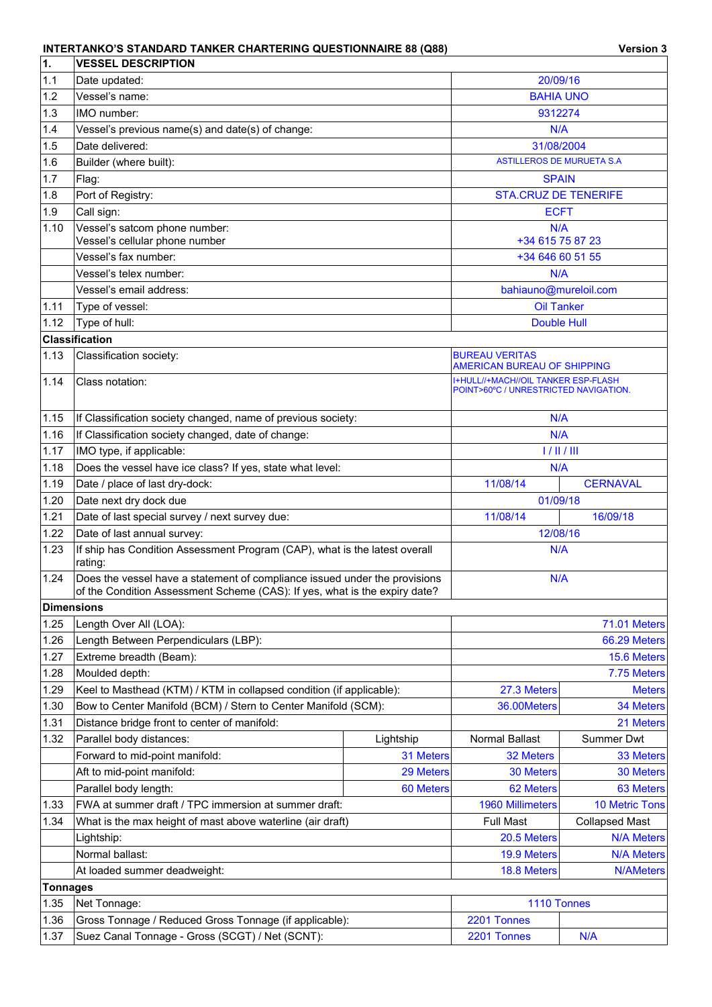## **INTERTANKO'S STANDARD TANKER CHARTERING QUESTIONNAIRE 88 (Q88) Version 3**

| 1.                | <b>VESSEL DESCRIPTION</b>                                                                                                                                |                  |                                                                              |                       |  |
|-------------------|----------------------------------------------------------------------------------------------------------------------------------------------------------|------------------|------------------------------------------------------------------------------|-----------------------|--|
| 1.1               | Date updated:                                                                                                                                            | 20/09/16         |                                                                              |                       |  |
| 1.2               | Vessel's name:                                                                                                                                           |                  | <b>BAHIA UNO</b>                                                             |                       |  |
| 1.3               | IMO number:                                                                                                                                              | 9312274          |                                                                              |                       |  |
| 1.4               | Vessel's previous name(s) and date(s) of change:                                                                                                         | N/A              |                                                                              |                       |  |
| 1.5               | Date delivered:                                                                                                                                          |                  | 31/08/2004                                                                   |                       |  |
| 1.6               | Builder (where built):                                                                                                                                   |                  | <b>ASTILLEROS DE MURUETA S.A</b>                                             |                       |  |
| 1.7               | Flag:                                                                                                                                                    |                  | <b>SPAIN</b>                                                                 |                       |  |
| 1.8               | Port of Registry:                                                                                                                                        |                  | <b>STA.CRUZ DE TENERIFE</b>                                                  |                       |  |
| 1.9               | Call sign:                                                                                                                                               |                  | <b>ECFT</b>                                                                  |                       |  |
| 1.10              | Vessel's satcom phone number:<br>Vessel's cellular phone number                                                                                          |                  | N/A<br>+34 615 75 87 23                                                      |                       |  |
|                   | Vessel's fax number:                                                                                                                                     |                  | +34 646 60 51 55                                                             |                       |  |
|                   | Vessel's telex number:                                                                                                                                   |                  | N/A                                                                          |                       |  |
|                   | Vessel's email address:                                                                                                                                  |                  | bahiauno@mureloil.com                                                        |                       |  |
| 1.11              | Type of vessel:                                                                                                                                          |                  | <b>Oil Tanker</b>                                                            |                       |  |
| 1.12              | Type of hull:                                                                                                                                            |                  | Double Hull                                                                  |                       |  |
|                   | <b>Classification</b>                                                                                                                                    |                  |                                                                              |                       |  |
| 1.13              | Classification society:                                                                                                                                  |                  | <b>BUREAU VERITAS</b>                                                        |                       |  |
|                   |                                                                                                                                                          |                  | AMERICAN BUREAU OF SHIPPING                                                  |                       |  |
| 1.14              | Class notation:                                                                                                                                          |                  | I+HULL//+MACH//OIL TANKER ESP-FLASH<br>POINT>60°C / UNRESTRICTED NAVIGATION. |                       |  |
| 1.15              | If Classification society changed, name of previous society:                                                                                             |                  | N/A                                                                          |                       |  |
| 1.16              | If Classification society changed, date of change:                                                                                                       |                  | N/A                                                                          |                       |  |
| 1.17              | IMO type, if applicable:                                                                                                                                 |                  | 1/11/111                                                                     |                       |  |
| 1.18              | Does the vessel have ice class? If yes, state what level:                                                                                                |                  | N/A                                                                          |                       |  |
| 1.19              | Date / place of last dry-dock:                                                                                                                           |                  | 11/08/14                                                                     | <b>CERNAVAL</b>       |  |
| 1.20              | Date next dry dock due                                                                                                                                   |                  | 01/09/18                                                                     |                       |  |
| 1.21              | Date of last special survey / next survey due:                                                                                                           |                  | 16/09/18<br>11/08/14                                                         |                       |  |
| 1.22              | Date of last annual survey:                                                                                                                              |                  | 12/08/16                                                                     |                       |  |
| 1.23              | If ship has Condition Assessment Program (CAP), what is the latest overall<br>rating:                                                                    |                  | N/A                                                                          |                       |  |
| 1.24              | Does the vessel have a statement of compliance issued under the provisions<br>of the Condition Assessment Scheme (CAS): If yes, what is the expiry date? |                  | N/A                                                                          |                       |  |
| <b>Dimensions</b> |                                                                                                                                                          |                  |                                                                              |                       |  |
| 1.25              | Length Over All (LOA):                                                                                                                                   |                  |                                                                              | 71.01 Meters          |  |
| 1.26              | Length Between Perpendiculars (LBP):                                                                                                                     |                  |                                                                              | 66.29 Meters          |  |
| 1.27              | Extreme breadth (Beam):                                                                                                                                  |                  |                                                                              | 15.6 Meters           |  |
| 1.28              | Moulded depth:                                                                                                                                           |                  |                                                                              | 7.75 Meters           |  |
| 1.29              | Keel to Masthead (KTM) / KTM in collapsed condition (if applicable):                                                                                     |                  | 27.3 Meters                                                                  | <b>Meters</b>         |  |
| 1.30              | Bow to Center Manifold (BCM) / Stern to Center Manifold (SCM):                                                                                           |                  | 36.00Meters                                                                  | 34 Meters             |  |
| 1.31              | Distance bridge front to center of manifold:                                                                                                             |                  |                                                                              | 21 Meters             |  |
| 1.32              | Parallel body distances:                                                                                                                                 | Lightship        | Normal Ballast                                                               | Summer Dwt            |  |
|                   | Forward to mid-point manifold:                                                                                                                           | 31 Meters        | 32 Meters                                                                    | 33 Meters             |  |
|                   | Aft to mid-point manifold:                                                                                                                               | 29 Meters        | 30 Meters                                                                    | 30 Meters             |  |
|                   | Parallel body length:                                                                                                                                    | 60 Meters        | 62 Meters                                                                    | 63 Meters             |  |
| 1.33              | FWA at summer draft / TPC immersion at summer draft:                                                                                                     |                  | 1960 Millimeters                                                             | <b>10 Metric Tons</b> |  |
| 1.34              | What is the max height of mast above waterline (air draft)                                                                                               | <b>Full Mast</b> | <b>Collapsed Mast</b>                                                        |                       |  |
|                   | Lightship:                                                                                                                                               | 20.5 Meters      | <b>N/A Meters</b>                                                            |                       |  |
|                   | Normal ballast:                                                                                                                                          | 19.9 Meters      | <b>N/A Meters</b>                                                            |                       |  |
|                   | At loaded summer deadweight:                                                                                                                             |                  | 18.8 Meters                                                                  | <b>N/AMeters</b>      |  |
| <b>Tonnages</b>   |                                                                                                                                                          |                  |                                                                              |                       |  |
| 1.35              | Net Tonnage:                                                                                                                                             |                  | 1110 Tonnes                                                                  |                       |  |
| 1.36              | Gross Tonnage / Reduced Gross Tonnage (if applicable):                                                                                                   |                  | 2201 Tonnes                                                                  |                       |  |
| 1.37              | Suez Canal Tonnage - Gross (SCGT) / Net (SCNT):                                                                                                          | 2201 Tonnes      | N/A                                                                          |                       |  |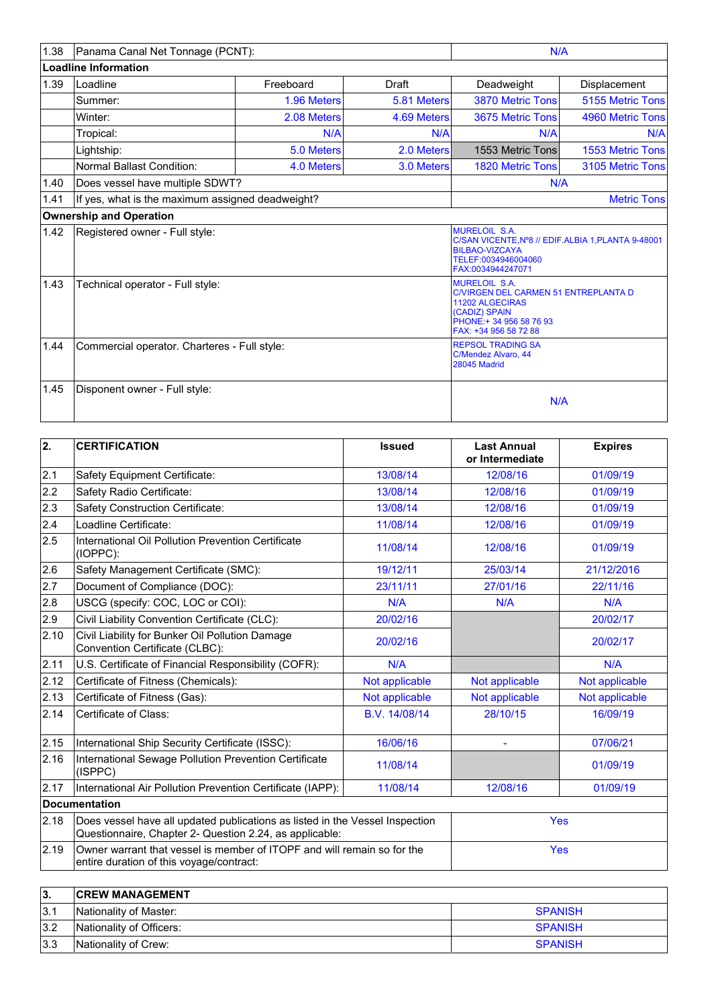| 1.38 | Panama Canal Net Tonnage (PCNT):                 |             |              | N/A                                                                                                                                                          |                     |
|------|--------------------------------------------------|-------------|--------------|--------------------------------------------------------------------------------------------------------------------------------------------------------------|---------------------|
|      | <b>Loadline Information</b>                      |             |              |                                                                                                                                                              |                     |
| 1.39 | Loadline                                         | Freeboard   | <b>Draft</b> | Deadweight                                                                                                                                                   | <b>Displacement</b> |
|      | Summer:                                          | 1.96 Meters | 5.81 Meters  | 3870 Metric Tons                                                                                                                                             | 5155 Metric Tons    |
|      | Winter:                                          | 2.08 Meters | 4.69 Meters  | 3675 Metric Tons                                                                                                                                             | 4960 Metric Tons    |
|      | Tropical:                                        | N/A         | N/A          | N/A                                                                                                                                                          | N/A                 |
|      | Lightship:                                       | 5.0 Meters  | 2.0 Meters   | 1553 Metric Tons                                                                                                                                             | 1553 Metric Tons    |
|      | <b>Normal Ballast Condition:</b>                 | 4.0 Meters  | 3.0 Meters   | <b>1820 Metric Tons</b>                                                                                                                                      | 3105 Metric Tons    |
| 1.40 | Does vessel have multiple SDWT?                  |             |              | N/A                                                                                                                                                          |                     |
| 1.41 | If yes, what is the maximum assigned deadweight? |             |              |                                                                                                                                                              | <b>Metric Tons</b>  |
|      | <b>Ownership and Operation</b>                   |             |              |                                                                                                                                                              |                     |
| 1.42 | Registered owner - Full style:                   |             |              | <b>MURELOIL S.A.</b><br>C/SAN VICENTE, Nº8 // EDIF. ALBIA 1, PLANTA 9-48001<br><b>BILBAO-VIZCAYA</b><br>TELEF:0034946004060<br>FAX:0034944247071             |                     |
| 1.43 | Technical operator - Full style:                 |             |              | <b>MURELOIL S.A.</b><br><b>C/VIRGEN DEL CARMEN 51 ENTREPLANTA D</b><br>11202 ALGECIRAS<br>(CADIZ) SPAIN<br>PHONE: + 34 956 58 76 93<br>FAX: +34 956 58 72 88 |                     |
| 1.44 | Commercial operator. Charteres - Full style:     |             |              | <b>REPSOL TRADING SA</b><br>C/Mendez Alvaro, 44<br>28045 Madrid                                                                                              |                     |
| 1.45 | Disponent owner - Full style:                    |             |              | N/A                                                                                                                                                          |                     |

| $\overline{2}$ . | <b>CERTIFICATION</b>                                                                                                                    | <b>Issued</b>  | <b>Last Annual</b><br>or Intermediate | <b>Expires</b> |
|------------------|-----------------------------------------------------------------------------------------------------------------------------------------|----------------|---------------------------------------|----------------|
| 2.1              | Safety Equipment Certificate:                                                                                                           | 13/08/14       | 12/08/16                              | 01/09/19       |
| 2.2              | Safety Radio Certificate:                                                                                                               | 13/08/14       | 12/08/16                              | 01/09/19       |
| 2.3              | Safety Construction Certificate:                                                                                                        | 13/08/14       | 12/08/16                              | 01/09/19       |
| 2.4              | Loadline Certificate:                                                                                                                   | 11/08/14       | 12/08/16                              | 01/09/19       |
| 2.5              | International Oil Pollution Prevention Certificate<br>(IOPPC):                                                                          | 11/08/14       | 12/08/16                              | 01/09/19       |
| 2.6              | Safety Management Certificate (SMC):                                                                                                    | 19/12/11       | 25/03/14                              | 21/12/2016     |
| 2.7              | Document of Compliance (DOC):                                                                                                           | 23/11/11       | 27/01/16                              | 22/11/16       |
| 2.8              | USCG (specify: COC, LOC or COI):                                                                                                        | N/A            | N/A                                   | N/A            |
| 2.9              | Civil Liability Convention Certificate (CLC):                                                                                           | 20/02/16       |                                       | 20/02/17       |
| 2.10             | Civil Liability for Bunker Oil Pollution Damage<br>Convention Certificate (CLBC):                                                       | 20/02/16       |                                       | 20/02/17       |
| 2.11             | U.S. Certificate of Financial Responsibility (COFR):                                                                                    | N/A            |                                       | N/A            |
| 2.12             | Certificate of Fitness (Chemicals):                                                                                                     | Not applicable | Not applicable                        | Not applicable |
| 2.13             | Certificate of Fitness (Gas):                                                                                                           | Not applicable | Not applicable                        | Not applicable |
| 2.14             | Certificate of Class:                                                                                                                   | B.V. 14/08/14  | 28/10/15                              | 16/09/19       |
| 2.15             | International Ship Security Certificate (ISSC):                                                                                         | 16/06/16       | ä,                                    | 07/06/21       |
| 2.16             | International Sewage Pollution Prevention Certificate<br>(ISPPC)                                                                        | 11/08/14       |                                       | 01/09/19       |
| 2.17             | International Air Pollution Prevention Certificate (IAPP):                                                                              | 11/08/14       | 12/08/16                              | 01/09/19       |
|                  | Documentation                                                                                                                           |                |                                       |                |
| 2.18             | Does vessel have all updated publications as listed in the Vessel Inspection<br>Questionnaire, Chapter 2- Question 2.24, as applicable: |                | <b>Yes</b>                            |                |
| 2.19             | Owner warrant that vessel is member of ITOPF and will remain so for the<br>entire duration of this voyage/contract:                     | <b>Yes</b>     |                                       |                |

| 13. | <b>ICREW MANAGEMENT</b>  |                |
|-----|--------------------------|----------------|
| 3.1 | Nationality of Master:   | <b>SPANISH</b> |
| 3.2 | Nationality of Officers: | <b>SPANISH</b> |
| 3.3 | Nationality of Crew:     | <b>SPANISH</b> |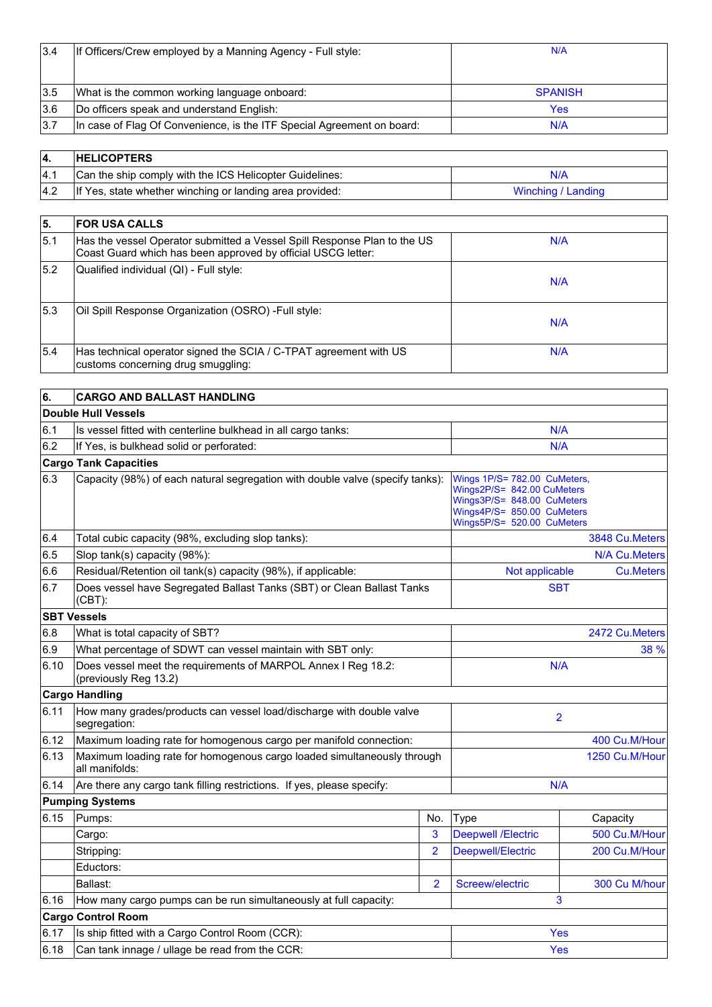| 13.4 | If Officers/Crew employed by a Manning Agency - Full style:            | N/A            |
|------|------------------------------------------------------------------------|----------------|
|      |                                                                        |                |
| 3.5  | What is the common working language onboard:                           | <b>SPANISH</b> |
| 3.6  | Do officers speak and understand English:                              | Yes            |
| 3.7  | In case of Flag Of Convenience, is the ITF Special Agreement on board: | N/A            |

|     | <b>HELICOPTERS</b>                                       |                    |
|-----|----------------------------------------------------------|--------------------|
| 4.1 | Can the ship comply with the ICS Helicopter Guidelines:  | N/A                |
| 4.2 | If Yes, state whether winching or landing area provided: | Winching / Landing |

| 5.   | <b>FOR USA CALLS</b>                                                                                                                     |     |
|------|------------------------------------------------------------------------------------------------------------------------------------------|-----|
| 15.1 | Has the vessel Operator submitted a Vessel Spill Response Plan to the US<br>Coast Guard which has been approved by official USCG letter: | N/A |
| 5.2  | Qualified individual (QI) - Full style:                                                                                                  | N/A |
| 5.3  | Oil Spill Response Organization (OSRO) - Full style:                                                                                     | N/A |
| 5.4  | Has technical operator signed the SCIA / C-TPAT agreement with US<br>customs concerning drug smuggling:                                  | N/A |

| 6.   | <b>CARGO AND BALLAST HANDLING</b>                                                         |                                                                                                                                                      |                           |                  |
|------|-------------------------------------------------------------------------------------------|------------------------------------------------------------------------------------------------------------------------------------------------------|---------------------------|------------------|
|      | Double Hull Vessels                                                                       |                                                                                                                                                      |                           |                  |
| 6.1  | Is vessel fitted with centerline bulkhead in all cargo tanks:                             | N/A                                                                                                                                                  |                           |                  |
| 6.2  | If Yes, is bulkhead solid or perforated:                                                  |                                                                                                                                                      | N/A                       |                  |
|      | <b>Cargo Tank Capacities</b>                                                              |                                                                                                                                                      |                           |                  |
| 6.3  | Capacity (98%) of each natural segregation with double valve (specify tanks):             | Wings 1P/S= 782.00 CuMeters,<br>Wings2P/S= 842.00 CuMeters<br>Wings3P/S= 848.00 CuMeters<br>Wings4P/S= 850.00 CuMeters<br>Wings5P/S= 520.00 CuMeters |                           |                  |
| 6.4  | Total cubic capacity (98%, excluding slop tanks):                                         |                                                                                                                                                      |                           | 3848 Cu.Meters   |
| 6.5  | Slop tank(s) capacity (98%):                                                              |                                                                                                                                                      |                           | N/A Cu.Meters    |
| 6.6  | Residual/Retention oil tank(s) capacity (98%), if applicable:                             |                                                                                                                                                      | Not applicable            | <b>Cu.Meters</b> |
| 6.7  | Does vessel have Segregated Ballast Tanks (SBT) or Clean Ballast Tanks<br>$(CBT)$ :       |                                                                                                                                                      | <b>SBT</b>                |                  |
|      | <b>SBT Vessels</b>                                                                        |                                                                                                                                                      |                           |                  |
| 6.8  | What is total capacity of SBT?                                                            |                                                                                                                                                      |                           | 2472 Cu.Meters   |
| 6.9  | What percentage of SDWT can vessel maintain with SBT only:                                |                                                                                                                                                      |                           | 38 %             |
| 6.10 | Does vessel meet the requirements of MARPOL Annex I Reg 18.2:<br>(previously Reg 13.2)    |                                                                                                                                                      | N/A                       |                  |
|      | <b>Cargo Handling</b>                                                                     |                                                                                                                                                      |                           |                  |
| 6.11 | How many grades/products can vessel load/discharge with double valve<br>segregation:      |                                                                                                                                                      | $\overline{2}$            |                  |
| 6.12 | Maximum loading rate for homogenous cargo per manifold connection:                        |                                                                                                                                                      | 400 Cu.M/Hour             |                  |
| 6.13 | Maximum loading rate for homogenous cargo loaded simultaneously through<br>all manifolds: |                                                                                                                                                      |                           | 1250 Cu.M/Hour   |
| 6.14 | Are there any cargo tank filling restrictions. If yes, please specify:                    |                                                                                                                                                      | N/A                       |                  |
|      | <b>Pumping Systems</b>                                                                    |                                                                                                                                                      |                           |                  |
| 6.15 | Pumps:                                                                                    | No.                                                                                                                                                  | Type                      | Capacity         |
|      | Cargo:                                                                                    | 3                                                                                                                                                    | <b>Deepwell /Electric</b> | 500 Cu.M/Hour    |
|      | Stripping:                                                                                | $\overline{2}$                                                                                                                                       | Deepwell/Electric         | 200 Cu.M/Hour    |
|      | Eductors:                                                                                 |                                                                                                                                                      |                           |                  |
|      | Ballast:                                                                                  | Screew/electric                                                                                                                                      | 300 Cu M/hour             |                  |
| 6.16 | How many cargo pumps can be run simultaneously at full capacity:                          |                                                                                                                                                      | 3                         |                  |
|      | <b>Cargo Control Room</b>                                                                 |                                                                                                                                                      |                           |                  |
| 6.17 | Is ship fitted with a Cargo Control Room (CCR):                                           |                                                                                                                                                      | Yes                       |                  |
| 6.18 | Can tank innage / ullage be read from the CCR:                                            |                                                                                                                                                      | Yes                       |                  |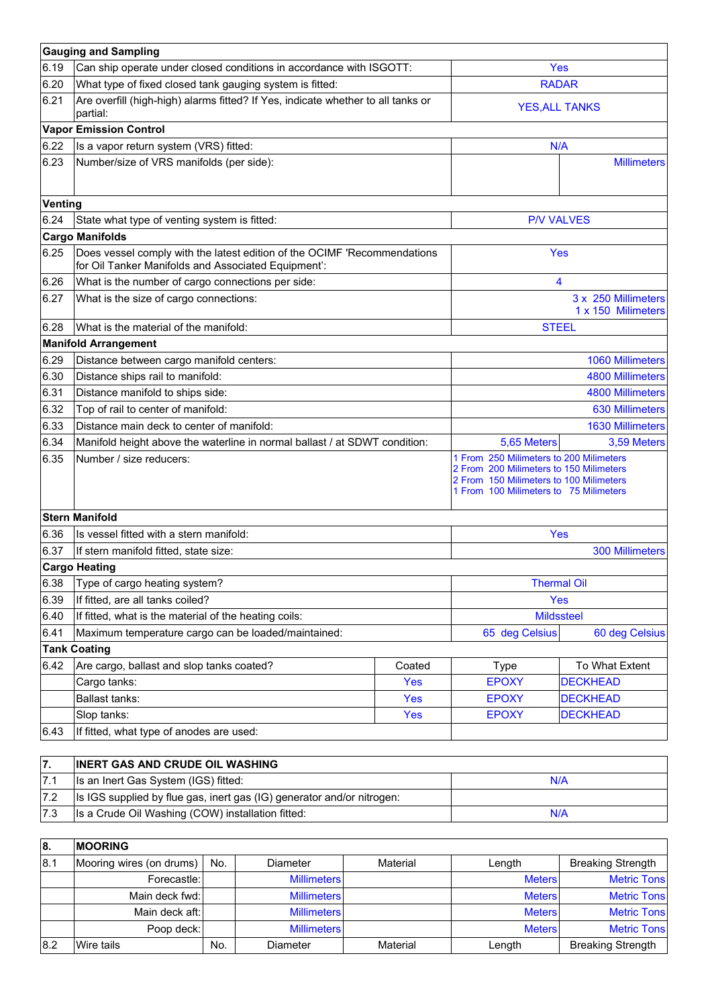|         | <b>Gauging and Sampling</b>                                                                                                     |                   |                                                                                                                                                                         |                                           |  |
|---------|---------------------------------------------------------------------------------------------------------------------------------|-------------------|-------------------------------------------------------------------------------------------------------------------------------------------------------------------------|-------------------------------------------|--|
| 6.19    | Can ship operate under closed conditions in accordance with ISGOTT:                                                             |                   |                                                                                                                                                                         | Yes                                       |  |
| 6.20    | What type of fixed closed tank gauging system is fitted:                                                                        | <b>RADAR</b>      |                                                                                                                                                                         |                                           |  |
| 6.21    | Are overfill (high-high) alarms fitted? If Yes, indicate whether to all tanks or<br>partial:                                    |                   |                                                                                                                                                                         | <b>YES, ALL TANKS</b>                     |  |
|         | <b>Vapor Emission Control</b>                                                                                                   |                   |                                                                                                                                                                         |                                           |  |
| 6.22    | Is a vapor return system (VRS) fitted:                                                                                          |                   |                                                                                                                                                                         | N/A                                       |  |
| 6.23    | Number/size of VRS manifolds (per side):                                                                                        |                   |                                                                                                                                                                         | <b>Millimeters</b>                        |  |
| Venting |                                                                                                                                 |                   |                                                                                                                                                                         |                                           |  |
| 6.24    | State what type of venting system is fitted:                                                                                    |                   |                                                                                                                                                                         | <b>P/V VALVES</b>                         |  |
|         | <b>Cargo Manifolds</b>                                                                                                          |                   |                                                                                                                                                                         |                                           |  |
| 6.25    | Does vessel comply with the latest edition of the OCIMF 'Recommendations<br>for Oil Tanker Manifolds and Associated Equipment': |                   |                                                                                                                                                                         | Yes                                       |  |
| 6.26    | What is the number of cargo connections per side:                                                                               |                   |                                                                                                                                                                         | 4                                         |  |
| 6.27    | What is the size of cargo connections:                                                                                          |                   |                                                                                                                                                                         | 3 x 250 Millimeters<br>1 x 150 Milimeters |  |
| 6.28    | What is the material of the manifold:                                                                                           |                   |                                                                                                                                                                         | <b>STEEL</b>                              |  |
|         | <b>Manifold Arrangement</b>                                                                                                     |                   |                                                                                                                                                                         |                                           |  |
| 6.29    | Distance between cargo manifold centers:                                                                                        |                   | 1060 Millimeters                                                                                                                                                        |                                           |  |
| 6.30    | Distance ships rail to manifold:                                                                                                |                   | <b>4800 Millimeters</b>                                                                                                                                                 |                                           |  |
| 6.31    | Distance manifold to ships side:                                                                                                |                   | <b>4800 Millimeters</b>                                                                                                                                                 |                                           |  |
| 6.32    | Top of rail to center of manifold:                                                                                              |                   | <b>630 Millimeters</b>                                                                                                                                                  |                                           |  |
| 6.33    | Distance main deck to center of manifold:                                                                                       |                   | <b>1630 Millimeters</b>                                                                                                                                                 |                                           |  |
| 6.34    | Manifold height above the waterline in normal ballast / at SDWT condition:                                                      |                   | 5,65 Meters                                                                                                                                                             | 3,59 Meters                               |  |
| 6.35    | Number / size reducers:                                                                                                         |                   | 1 From 250 Milimeters to 200 Milimeters<br>2 From 200 Milimeters to 150 Milimeters<br>2 From 150 Milimeters to 100 Milimeters<br>1 From 100 Milimeters to 75 Milimeters |                                           |  |
|         | <b>Stern Manifold</b>                                                                                                           |                   |                                                                                                                                                                         |                                           |  |
| 6.36    | Is vessel fitted with a stern manifold:                                                                                         |                   |                                                                                                                                                                         | Yes                                       |  |
| 6.37    | If stern manifold fitted, state size:                                                                                           |                   |                                                                                                                                                                         | <b>300 Millimeters</b>                    |  |
|         | <b>Cargo Heating</b>                                                                                                            |                   |                                                                                                                                                                         |                                           |  |
|         | 6.38 Type of cargo heating system?                                                                                              |                   | <b>Thermal Oil</b>                                                                                                                                                      |                                           |  |
| 6.39    | If fitted, are all tanks coiled?                                                                                                |                   | Yes                                                                                                                                                                     |                                           |  |
| 6.40    | If fitted, what is the material of the heating coils:                                                                           | <b>Mildssteel</b> |                                                                                                                                                                         |                                           |  |
| 6.41    | Maximum temperature cargo can be loaded/maintained:                                                                             |                   | 65 deg Celsius                                                                                                                                                          | 60 deg Celsius                            |  |
|         | <b>Tank Coating</b>                                                                                                             |                   |                                                                                                                                                                         |                                           |  |
| 6.42    | Are cargo, ballast and slop tanks coated?                                                                                       | Coated            | <b>Type</b>                                                                                                                                                             | To What Extent                            |  |
|         | Cargo tanks:                                                                                                                    | <b>Yes</b>        | <b>EPOXY</b>                                                                                                                                                            | <b>DECKHEAD</b>                           |  |
|         | Ballast tanks:                                                                                                                  | Yes               | <b>EPOXY</b>                                                                                                                                                            | <b>DECKHEAD</b>                           |  |
|         | Slop tanks:                                                                                                                     | Yes               | <b>EPOXY</b>                                                                                                                                                            | <b>DECKHEAD</b>                           |  |
| 6.43    | If fitted, what type of anodes are used:                                                                                        |                   |                                                                                                                                                                         |                                           |  |

| <b>INERT GAS AND CRUDE OIL WASHING</b>                                 |     |
|------------------------------------------------------------------------|-----|
| Is an Inert Gas System (IGS) fitted:                                   | N/A |
| Is IGS supplied by flue gas, inert gas (IG) generator and/or nitrogen: |     |
| Is a Crude Oil Washing (COW) installation fitted:                      | N/A |

| 18. | <b>IMOORING</b>          |     |                    |          |               |                          |
|-----|--------------------------|-----|--------------------|----------|---------------|--------------------------|
| 8.1 | Mooring wires (on drums) | No. | Diameter           | Material | Length        | <b>Breaking Strength</b> |
|     | Forecastle:              |     | <b>Millimeters</b> |          | <b>Meters</b> | <b>Metric Tons</b>       |
|     | Main deck fwd:           |     | <b>Millimeters</b> |          | <b>Meters</b> | <b>Metric Tons</b>       |
|     | Main deck aft:           |     | <b>Millimeters</b> |          | <b>Meters</b> | <b>Metric Tons</b>       |
|     | Poop deck:               |     | <b>Millimeters</b> |          | <b>Meters</b> | <b>Metric Tons</b>       |
| 8.2 | Wire tails               | No. | Diameter           | Material | Length        | <b>Breaking Strength</b> |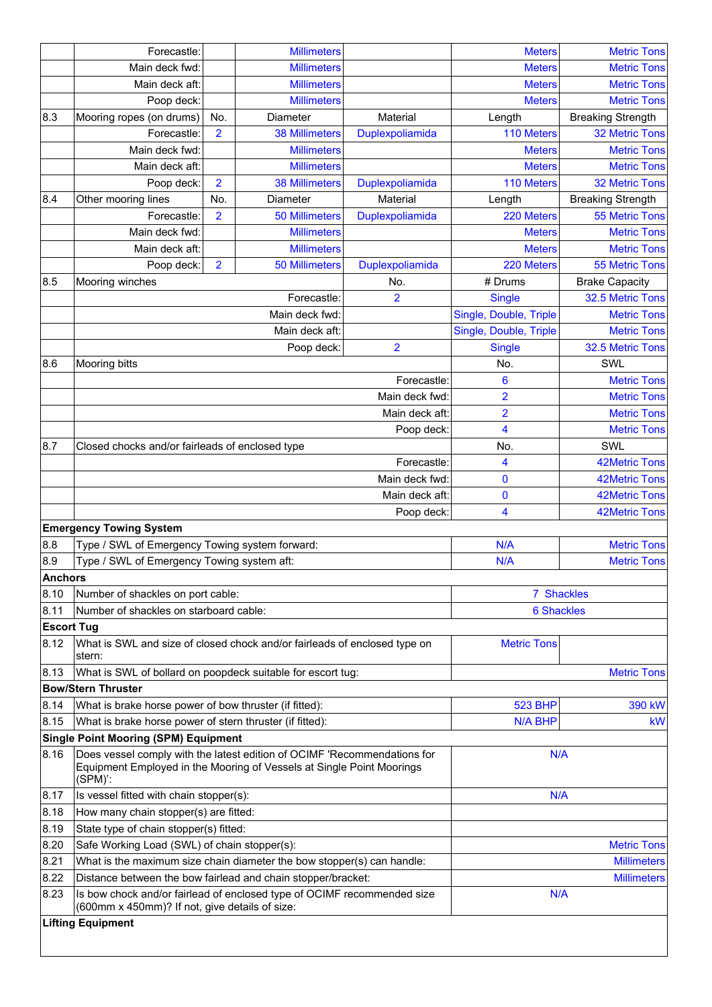|                   | Forecastle:                                                                                                                                                  |                | <b>Millimeters</b>    |                         | <b>Meters</b>          | <b>Metric Tons</b>       |
|-------------------|--------------------------------------------------------------------------------------------------------------------------------------------------------------|----------------|-----------------------|-------------------------|------------------------|--------------------------|
|                   | Main deck fwd:                                                                                                                                               |                | <b>Millimeters</b>    |                         | <b>Meters</b>          | <b>Metric Tons</b>       |
|                   | Main deck aft:                                                                                                                                               |                | <b>Millimeters</b>    |                         | <b>Meters</b>          | <b>Metric Tons</b>       |
|                   | Poop deck:                                                                                                                                                   |                | <b>Millimeters</b>    |                         | <b>Meters</b>          | <b>Metric Tons</b>       |
| 8.3               | Mooring ropes (on drums)                                                                                                                                     | No.            | Diameter              | Material                | Length                 | <b>Breaking Strength</b> |
|                   | Forecastle:                                                                                                                                                  | $\overline{2}$ | <b>38 Millimeters</b> | Duplexpoliamida         | 110 Meters             | 32 Metric Tons           |
|                   | Main deck fwd:                                                                                                                                               |                | <b>Millimeters</b>    |                         | <b>Meters</b>          | <b>Metric Tons</b>       |
|                   | Main deck aft:                                                                                                                                               |                | <b>Millimeters</b>    |                         | <b>Meters</b>          | <b>Metric Tons</b>       |
|                   | Poop deck:                                                                                                                                                   | $\overline{2}$ | <b>38 Millimeters</b> | Duplexpoliamida         | 110 Meters             | <b>32 Metric Tons</b>    |
| 8.4               | Other mooring lines                                                                                                                                          | No.            | Diameter              | Material                | Length                 | <b>Breaking Strength</b> |
|                   | Forecastle:                                                                                                                                                  | $\overline{2}$ | <b>50 Millimeters</b> | Duplexpoliamida         | 220 Meters             | 55 Metric Tons           |
|                   | Main deck fwd:                                                                                                                                               |                | <b>Millimeters</b>    |                         | <b>Meters</b>          | <b>Metric Tons</b>       |
|                   | Main deck aft:                                                                                                                                               |                | <b>Millimeters</b>    |                         | <b>Meters</b>          | <b>Metric Tons</b>       |
|                   | Poop deck:                                                                                                                                                   | $\overline{2}$ | <b>50 Millimeters</b> | Duplexpoliamida         | 220 Meters             | 55 Metric Tons           |
| 8.5               | Mooring winches                                                                                                                                              |                |                       | No.                     | # Drums                | <b>Brake Capacity</b>    |
|                   |                                                                                                                                                              |                | Forecastle:           | $\overline{2}$          | <b>Single</b>          | 32.5 Metric Tons         |
|                   |                                                                                                                                                              |                | Main deck fwd:        |                         | Single, Double, Triple | <b>Metric Tons</b>       |
|                   |                                                                                                                                                              |                | Main deck aft:        |                         | Single, Double, Triple | <b>Metric Tons</b>       |
|                   |                                                                                                                                                              |                | Poop deck:            | $\overline{\mathbf{c}}$ | <b>Single</b>          | 32.5 Metric Tons         |
| 8.6               | <b>Mooring bitts</b>                                                                                                                                         |                |                       |                         | No.                    | SWL                      |
|                   |                                                                                                                                                              |                |                       | Forecastle:             | 6                      | <b>Metric Tons</b>       |
|                   |                                                                                                                                                              |                |                       | Main deck fwd:          | $\overline{2}$         | <b>Metric Tons</b>       |
|                   |                                                                                                                                                              |                |                       | Main deck aft:          | $\overline{2}$         | <b>Metric Tons</b>       |
|                   |                                                                                                                                                              |                |                       | Poop deck:              | 4                      | <b>Metric Tons</b>       |
| 8.7               | Closed chocks and/or fairleads of enclosed type                                                                                                              |                |                       |                         | No.                    | SWL                      |
|                   |                                                                                                                                                              |                |                       | Forecastle:             | 4                      | <b>42Metric Tons</b>     |
|                   | Main deck fwd:                                                                                                                                               |                |                       |                         | $\bf{0}$               | <b>42Metric Tons</b>     |
|                   |                                                                                                                                                              | 0              | <b>42Metric Tons</b>  |                         |                        |                          |
|                   |                                                                                                                                                              | 4              | <b>42Metric Tons</b>  |                         |                        |                          |
|                   | <b>Emergency Towing System</b>                                                                                                                               |                |                       |                         |                        |                          |
| 8.8               | Type / SWL of Emergency Towing system forward:                                                                                                               |                |                       |                         | N/A                    | <b>Metric Tons</b>       |
| 8.9               | Type / SWL of Emergency Towing system aft:                                                                                                                   |                |                       |                         | N/A                    | <b>Metric Tons</b>       |
| <b>Anchors</b>    |                                                                                                                                                              |                |                       |                         |                        |                          |
| 8.10              | Number of shackles on port cable:                                                                                                                            |                |                       |                         | 7 Shackles             |                          |
| 8.11              | Number of shackles on starboard cable:                                                                                                                       |                |                       |                         | <b>6 Shackles</b>      |                          |
| <b>Escort Tug</b> |                                                                                                                                                              |                |                       |                         |                        |                          |
| 8.12              | What is SWL and size of closed chock and/or fairleads of enclosed type on<br>stern:                                                                          |                |                       |                         | <b>Metric Tons</b>     |                          |
| 8.13              | What is SWL of bollard on poopdeck suitable for escort tug:                                                                                                  |                |                       |                         |                        | <b>Metric Tons</b>       |
|                   | <b>Bow/Stern Thruster</b>                                                                                                                                    |                |                       |                         |                        |                          |
| 8.14              | What is brake horse power of bow thruster (if fitted):                                                                                                       |                |                       |                         | <b>523 BHP</b>         | 390 kW                   |
| 8.15              | What is brake horse power of stern thruster (if fitted):                                                                                                     |                |                       |                         | <b>N/A BHP</b>         | <b>kW</b>                |
|                   | <b>Single Point Mooring (SPM) Equipment</b>                                                                                                                  |                |                       |                         |                        |                          |
| 8.16              | Does vessel comply with the latest edition of OCIMF 'Recommendations for<br>Equipment Employed in the Mooring of Vessels at Single Point Moorings<br>(SPM)': | N/A            |                       |                         |                        |                          |
| 8.17              | Is vessel fitted with chain stopper(s):                                                                                                                      |                |                       | N/A                     |                        |                          |
| 8.18              | How many chain stopper(s) are fitted:                                                                                                                        |                |                       |                         |                        |                          |
| 8.19              | State type of chain stopper(s) fitted:                                                                                                                       |                |                       |                         |                        |                          |
| 8.20              | Safe Working Load (SWL) of chain stopper(s):                                                                                                                 |                |                       |                         |                        | <b>Metric Tons</b>       |
| 8.21              | What is the maximum size chain diameter the bow stopper(s) can handle:                                                                                       |                |                       |                         | <b>Millimeters</b>     |                          |
| 8.22              | Distance between the bow fairlead and chain stopper/bracket:                                                                                                 |                |                       |                         | <b>Millimeters</b>     |                          |
| 8.23              | Is bow chock and/or fairlead of enclosed type of OCIMF recommended size<br>(600mm x 450mm)? If not, give details of size:                                    |                |                       |                         | N/A                    |                          |
|                   | <b>Lifting Equipment</b>                                                                                                                                     |                |                       |                         |                        |                          |